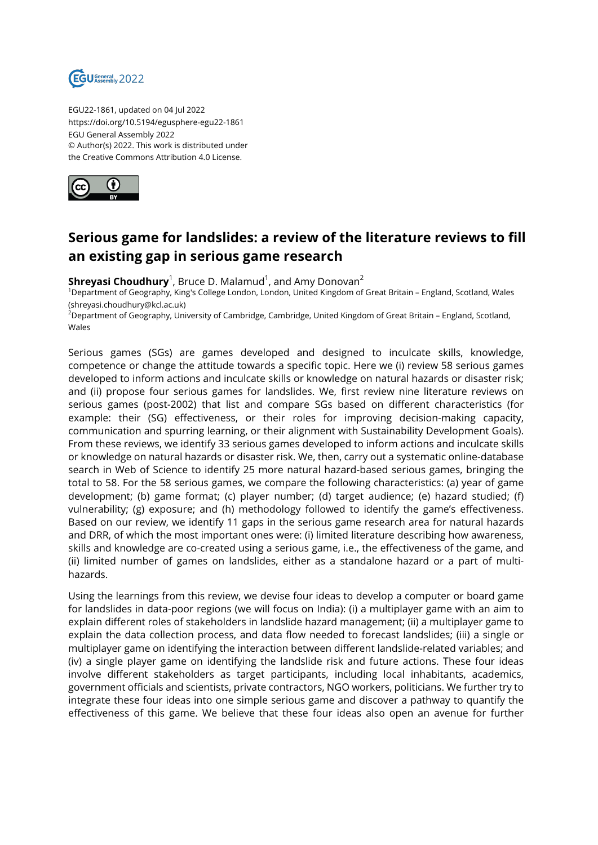

EGU22-1861, updated on 04 Jul 2022 https://doi.org/10.5194/egusphere-egu22-1861 EGU General Assembly 2022 © Author(s) 2022. This work is distributed under the Creative Commons Attribution 4.0 License.



## **Serious game for landslides: a review of the literature reviews to fill an existing gap in serious game research**

 ${\sf Shreyasi}$   ${\sf Choudhury}^1$ , Bruce D. Malamud $^1$ , and Amy Donovan $^2$ 

<sup>1</sup>Department of Geography, King's College London, London, United Kingdom of Great Britain – England, Scotland, Wales (shreyasi.choudhury@kcl.ac.uk)

<sup>2</sup>Department of Geography, University of Cambridge, Cambridge, United Kingdom of Great Britain – England, Scotland, Wales

Serious games (SGs) are games developed and designed to inculcate skills, knowledge, competence or change the attitude towards a specific topic. Here we (i) review 58 serious games developed to inform actions and inculcate skills or knowledge on natural hazards or disaster risk; and (ii) propose four serious games for landslides. We, first review nine literature reviews on serious games (post-2002) that list and compare SGs based on different characteristics (for example: their (SG) effectiveness, or their roles for improving decision-making capacity, communication and spurring learning, or their alignment with Sustainability Development Goals). From these reviews, we identify 33 serious games developed to inform actions and inculcate skills or knowledge on natural hazards or disaster risk. We, then, carry out a systematic online-database search in Web of Science to identify 25 more natural hazard-based serious games, bringing the total to 58. For the 58 serious games, we compare the following characteristics: (a) year of game development; (b) game format; (c) player number; (d) target audience; (e) hazard studied; (f) vulnerability; (g) exposure; and (h) methodology followed to identify the game's effectiveness. Based on our review, we identify 11 gaps in the serious game research area for natural hazards and DRR, of which the most important ones were: (i) limited literature describing how awareness, skills and knowledge are co-created using a serious game, i.e., the effectiveness of the game, and (ii) limited number of games on landslides, either as a standalone hazard or a part of multihazards.

Using the learnings from this review, we devise four ideas to develop a computer or board game for landslides in data-poor regions (we will focus on India): (i) a multiplayer game with an aim to explain different roles of stakeholders in landslide hazard management; (ii) a multiplayer game to explain the data collection process, and data flow needed to forecast landslides; (iii) a single or multiplayer game on identifying the interaction between different landslide-related variables; and (iv) a single player game on identifying the landslide risk and future actions. These four ideas involve different stakeholders as target participants, including local inhabitants, academics, government officials and scientists, private contractors, NGO workers, politicians. We further try to integrate these four ideas into one simple serious game and discover a pathway to quantify the effectiveness of this game. We believe that these four ideas also open an avenue for further